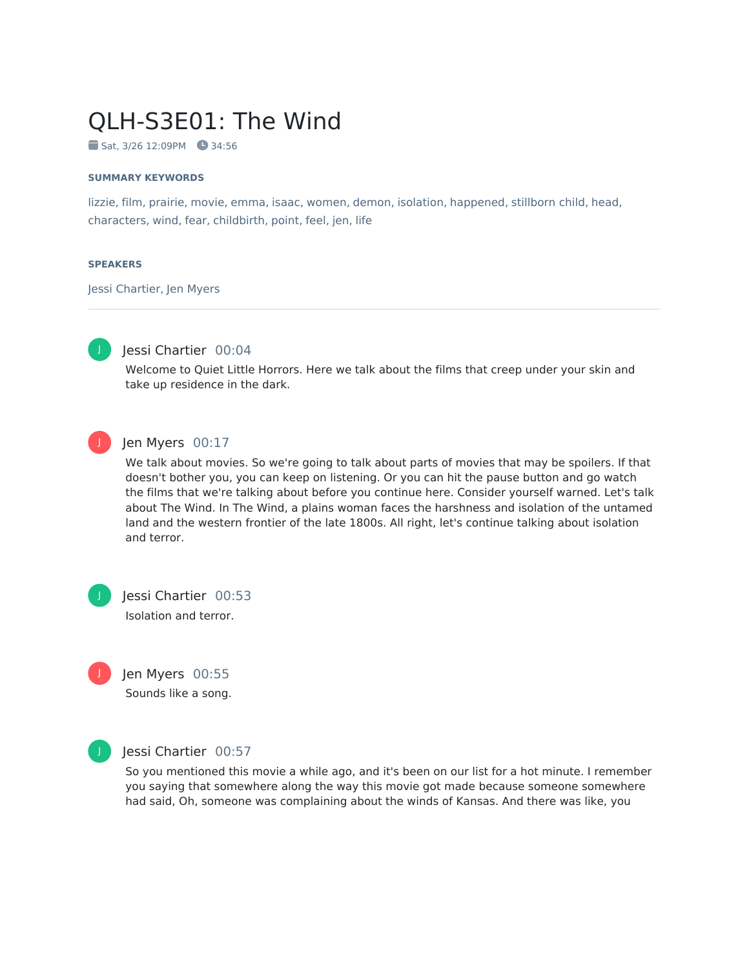# QLH-S3E01: The Wind

Sat, 3/26 12:09PM 34:56

#### **SUMMARY KEYWORDS**

lizzie, film, prairie, movie, emma, isaac, women, demon, isolation, happened, stillborn child, head, characters, wind, fear, childbirth, point, feel, jen, life

#### **SPEAKERS**

Jessi Chartier, Jen Myers



# Jessi Chartier 00:04

Welcome to Quiet Little Horrors. Here we talk about the films that creep under your skin and take up residence in the dark.



#### Jen Myers 00:17

We talk about movies. So we're going to talk about parts of movies that may be spoilers. If that doesn't bother you, you can keep on listening. Or you can hit the pause button and go watch the films that we're talking about before you continue here. Consider yourself warned. Let's talk about The Wind. In The Wind, a plains woman faces the harshness and isolation of the untamed land and the western frontier of the late 1800s. All right, let's continue talking about isolation and terror.

J





Sounds like a song.



J

#### Jessi Chartier 00:57

So you mentioned this movie a while ago, and it's been on our list for a hot minute. I remember you saying that somewhere along the way this movie got made because someone somewhere had said, Oh, someone was complaining about the winds of Kansas. And there was like, you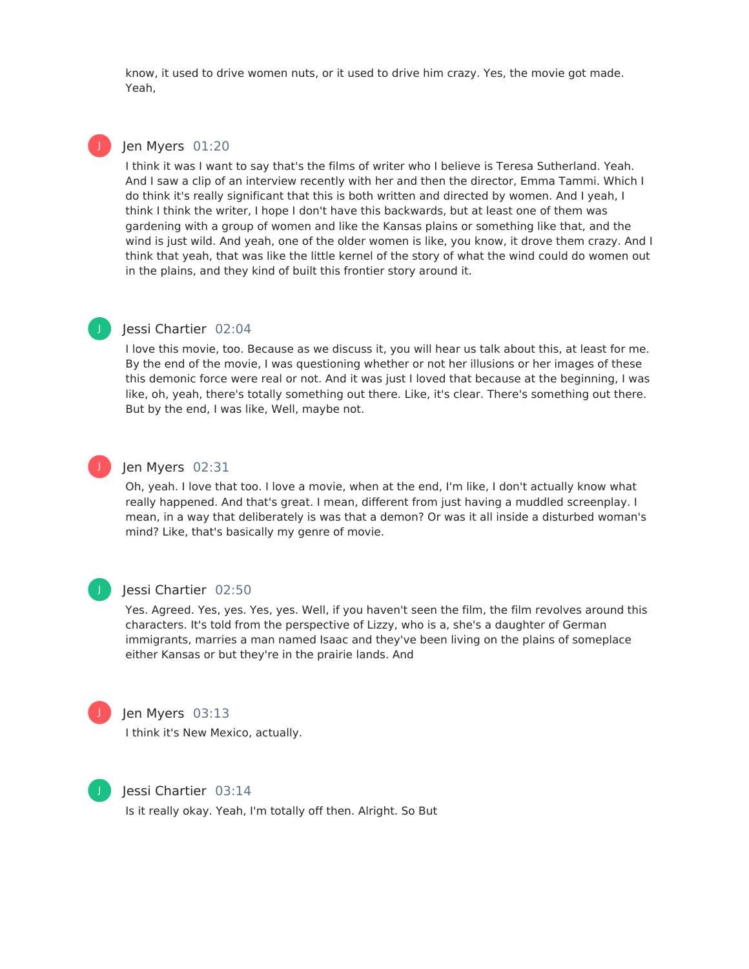know, it used to drive women nuts, or it used to drive him crazy. Yes, the movie got made. Yeah,

#### Ien Myers 01:20

J

J

I think it was I want to say that's the films of writer who I believe is Teresa Sutherland. Yeah. And I saw a clip of an interview recently with her and then the director, Emma Tammi. Which I do think it's really significant that this is both written and directed by women. And I yeah, I think I think the writer, I hope I don't have this backwards, but at least one of them was gardening with a group of women and like the Kansas plains or something like that, and the wind is just wild. And yeah, one of the older women is like, you know, it drove them crazy. And I think that yeah, that was like the little kernel of the story of what the wind could do women out in the plains, and they kind of built this frontier story around it.

## Jessi Chartier 02:04

I love this movie, too. Because as we discuss it, you will hear us talk about this, at least for me. By the end of the movie, I was questioning whether or not her illusions or her images of these this demonic force were real or not. And it was just I loved that because at the beginning, I was like, oh, yeah, there's totally something out there. Like, it's clear. There's something out there. But by the end, I was like, Well, maybe not.

#### Jen Myers 02:31

Oh, yeah. I love that too. I love a movie, when at the end, I'm like, I don't actually know what really happened. And that's great. I mean, different from just having a muddled screenplay. I mean, in a way that deliberately is was that a demon? Or was it all inside a disturbed woman's mind? Like, that's basically my genre of movie.



J

#### Jessi Chartier 02:50

Yes. Agreed. Yes, yes. Yes, yes. Well, if you haven't seen the film, the film revolves around this characters. It's told from the perspective of Lizzy, who is a, she's a daughter of German immigrants, marries a man named Isaac and they've been living on the plains of someplace either Kansas or but they're in the prairie lands. And



# Jen Myers 03:13

I think it's New Mexico, actually.



#### Jessi Chartier 03:14

Is it really okay. Yeah, I'm totally off then. Alright. So But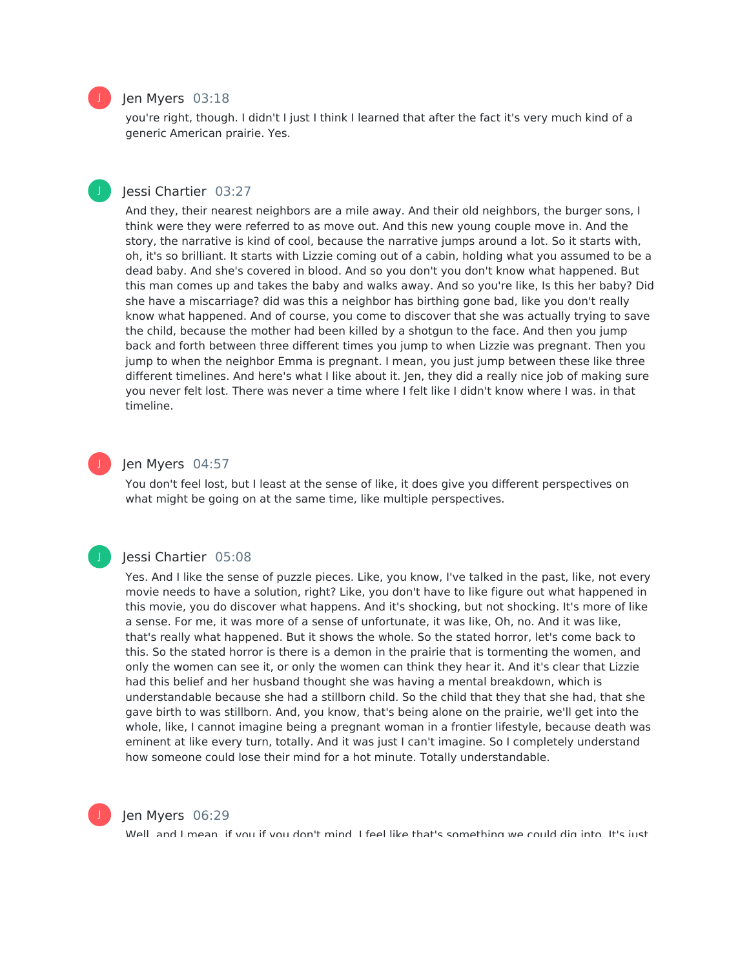

#### Jen Myers 03:18

you're right, though. I didn't I just I think I learned that after the fact it's very much kind of a generic American prairie. Yes.

## Jessi Chartier 03:27

And they, their nearest neighbors are a mile away. And their old neighbors, the burger sons, I think were they were referred to as move out. And this new young couple move in. And the story, the narrative is kind of cool, because the narrative jumps around a lot. So it starts with, oh, it's so brilliant. It starts with Lizzie coming out of a cabin, holding what you assumed to be a dead baby. And she's covered in blood. And so you don't you don't know what happened. But this man comes up and takes the baby and walks away. And so you're like, Is this her baby? Did she have a miscarriage? did was this a neighbor has birthing gone bad, like you don't really know what happened. And of course, you come to discover that she was actually trying to save the child, because the mother had been killed by a shotgun to the face. And then you jump back and forth between three different times you jump to when Lizzie was pregnant. Then you jump to when the neighbor Emma is pregnant. I mean, you just jump between these like three different timelines. And here's what I like about it. Jen, they did a really nice job of making sure you never felt lost. There was never a time where I felt like I didn't know where I was. in that timeline.

## Jen Myers 04:57

You don't feel lost, but I least at the sense of like, it does give you different perspectives on what might be going on at the same time, like multiple perspectives.

## J

J

#### Jessi Chartier 05:08

Yes. And I like the sense of puzzle pieces. Like, you know, I've talked in the past, like, not every movie needs to have a solution, right? Like, you don't have to like figure out what happened in this movie, you do discover what happens. And it's shocking, but not shocking. It's more of like a sense. For me, it was more of a sense of unfortunate, it was like, Oh, no. And it was like, that's really what happened. But it shows the whole. So the stated horror, let's come back to this. So the stated horror is there is a demon in the prairie that is tormenting the women, and only the women can see it, or only the women can think they hear it. And it's clear that Lizzie had this belief and her husband thought she was having a mental breakdown, which is understandable because she had a stillborn child. So the child that they that she had, that she gave birth to was stillborn. And, you know, that's being alone on the prairie, we'll get into the whole, like, I cannot imagine being a pregnant woman in a frontier lifestyle, because death was eminent at like every turn, totally. And it was just I can't imagine. So I completely understand how someone could lose their mind for a hot minute. Totally understandable.



#### Jen Myers 06:29

Well, and I mean, if you if you don't mind. I feel like that's something we could dig into. It's just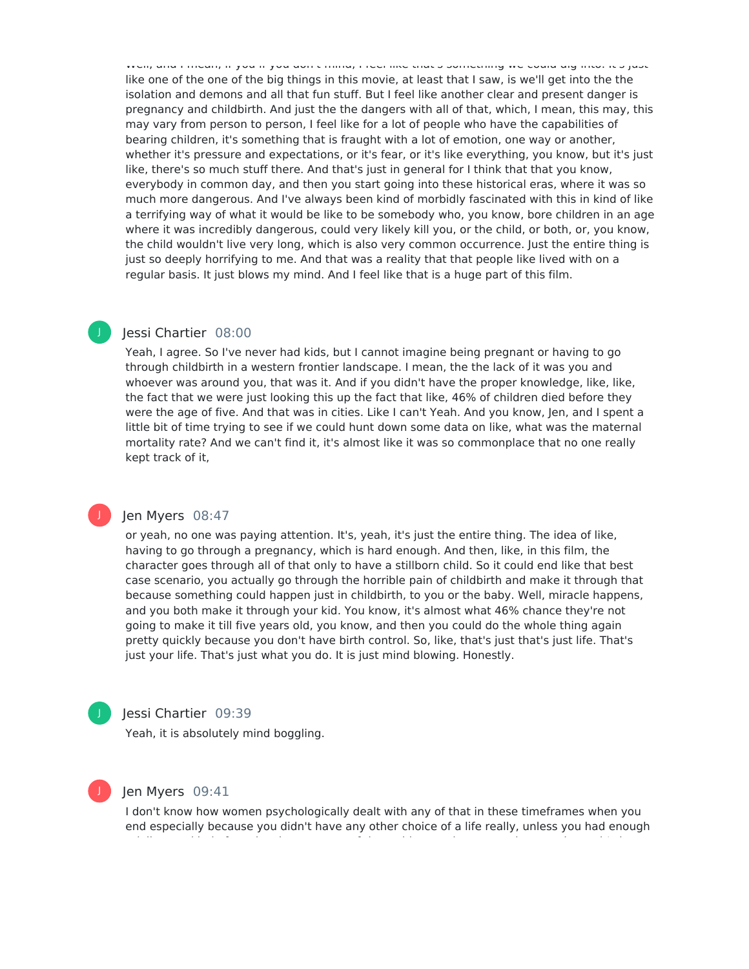Well, and I mean, if you if you don't mind, I feel like that's something we could dig into. It's just like one of the one of the big things in this movie, at least that I saw, is we'll get into the the isolation and demons and all that fun stuff. But I feel like another clear and present danger is pregnancy and childbirth. And just the the dangers with all of that, which, I mean, this may, this may vary from person to person, I feel like for a lot of people who have the capabilities of bearing children, it's something that is fraught with a lot of emotion, one way or another, whether it's pressure and expectations, or it's fear, or it's like everything, you know, but it's just like, there's so much stuff there. And that's just in general for I think that that you know, everybody in common day, and then you start going into these historical eras, where it was so much more dangerous. And I've always been kind of morbidly fascinated with this in kind of like a terrifying way of what it would be like to be somebody who, you know, bore children in an age where it was incredibly dangerous, could very likely kill you, or the child, or both, or, you know, the child wouldn't live very long, which is also very common occurrence. Just the entire thing is just so deeply horrifying to me. And that was a reality that that people like lived with on a regular basis. It just blows my mind. And I feel like that is a huge part of this film.

# Jessi Chartier 08:00

Yeah, I agree. So I've never had kids, but I cannot imagine being pregnant or having to go through childbirth in a western frontier landscape. I mean, the the lack of it was you and whoever was around you, that was it. And if you didn't have the proper knowledge, like, like, the fact that we were just looking this up the fact that like, 46% of children died before they were the age of five. And that was in cities. Like I can't Yeah. And you know, Jen, and I spent a little bit of time trying to see if we could hunt down some data on like, what was the maternal mortality rate? And we can't find it, it's almost like it was so commonplace that no one really kept track of it,

## Jen Myers 08:47

or yeah, no one was paying attention. It's, yeah, it's just the entire thing. The idea of like, having to go through a pregnancy, which is hard enough. And then, like, in this film, the character goes through all of that only to have a stillborn child. So it could end like that best case scenario, you actually go through the horrible pain of childbirth and make it through that because something could happen just in childbirth, to you or the baby. Well, miracle happens, and you both make it through your kid. You know, it's almost what 46% chance they're not going to make it till five years old, you know, and then you could do the whole thing again pretty quickly because you don't have birth control. So, like, that's just that's just life. That's just your life. That's just what you do. It is just mind blowing. Honestly.

# J

J

J

# Jessi Chartier 09:39

Yeah, it is absolutely mind boggling.

#### Jen Myers 09:41

I don't know how women psychologically dealt with any of that in these timeframes when you end especially because you didn't have any other choice of a life really, unless you had enough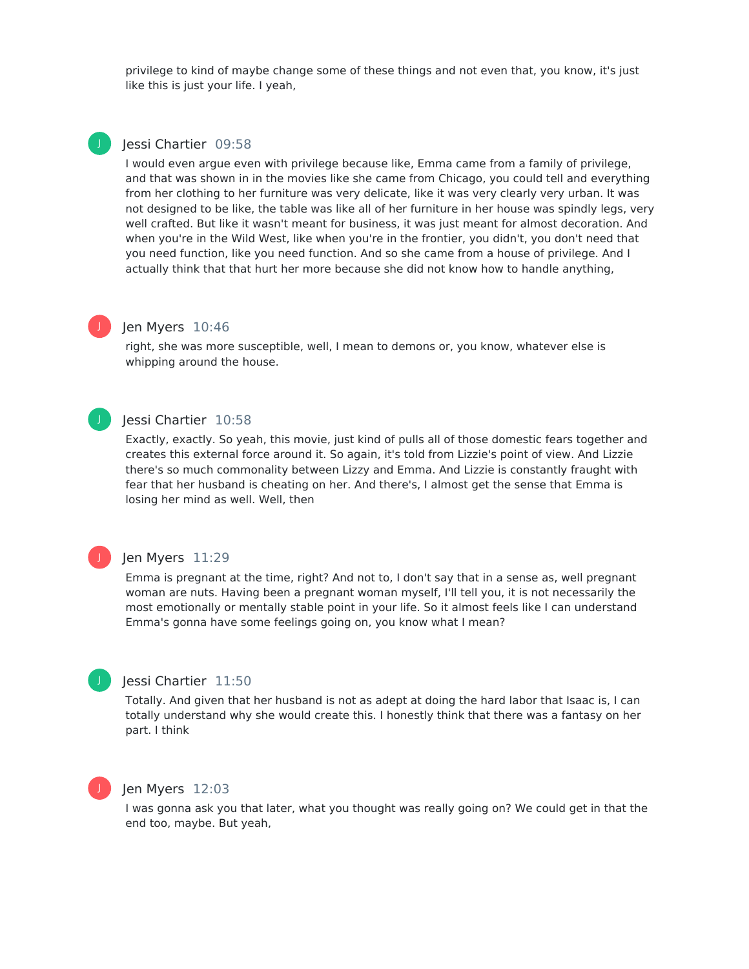privilege to kind of maybe change some of these things and not even that, you know, it's just like this is just your life. I yeah,

# J

## Iessi Chartier 09:58

I would even argue even with privilege because like, Emma came from a family of privilege, and that was shown in in the movies like she came from Chicago, you could tell and everything from her clothing to her furniture was very delicate, like it was very clearly very urban. It was not designed to be like, the table was like all of her furniture in her house was spindly legs, very well crafted. But like it wasn't meant for business, it was just meant for almost decoration. And when you're in the Wild West, like when you're in the frontier, you didn't, you don't need that you need function, like you need function. And so she came from a house of privilege. And I actually think that that hurt her more because she did not know how to handle anything,

# J

## Jen Myers 10:46

right, she was more susceptible, well, I mean to demons or, you know, whatever else is whipping around the house.

# J

## Jessi Chartier 10:58

Exactly, exactly. So yeah, this movie, just kind of pulls all of those domestic fears together and creates this external force around it. So again, it's told from Lizzie's point of view. And Lizzie there's so much commonality between Lizzy and Emma. And Lizzie is constantly fraught with fear that her husband is cheating on her. And there's, I almost get the sense that Emma is losing her mind as well. Well, then

# Jen Myers 11:29

Emma is pregnant at the time, right? And not to, I don't say that in a sense as, well pregnant woman are nuts. Having been a pregnant woman myself, I'll tell you, it is not necessarily the most emotionally or mentally stable point in your life. So it almost feels like I can understand Emma's gonna have some feelings going on, you know what I mean?

# J

J

# Jessi Chartier 11:50

Totally. And given that her husband is not as adept at doing the hard labor that Isaac is, I can totally understand why she would create this. I honestly think that there was a fantasy on her part. I think

## Jen Myers 12:03

I was gonna ask you that later, what you thought was really going on? We could get in that the end too, maybe. But yeah,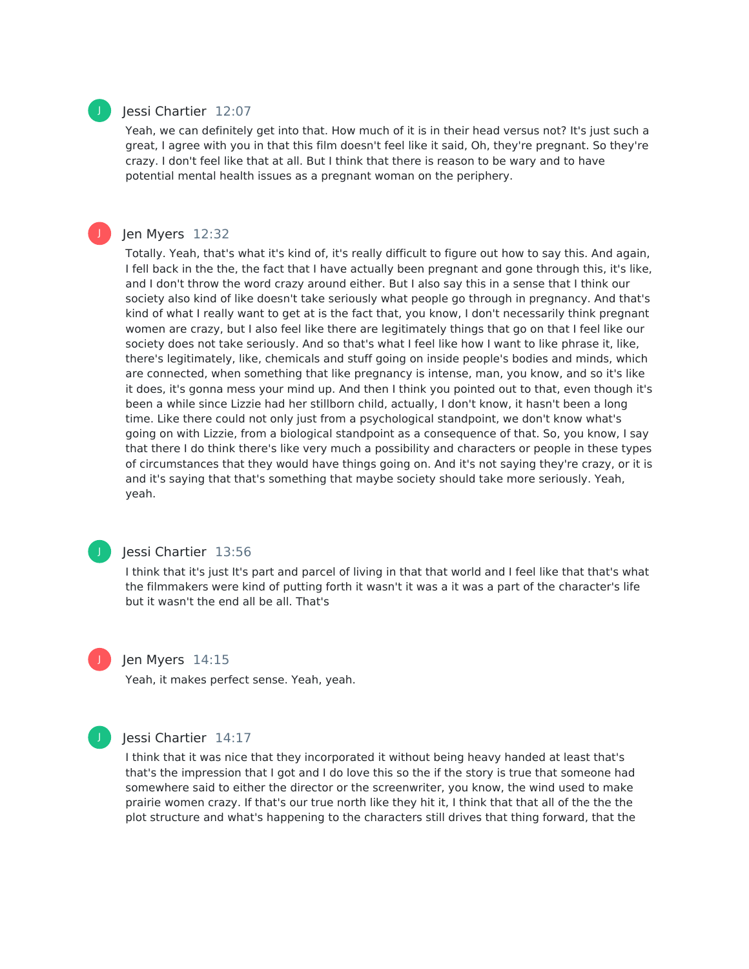

#### Jessi Chartier 12:07

Yeah, we can definitely get into that. How much of it is in their head versus not? It's just such a great, I agree with you in that this film doesn't feel like it said, Oh, they're pregnant. So they're crazy. I don't feel like that at all. But I think that there is reason to be wary and to have potential mental health issues as a pregnant woman on the periphery.



#### Jen Myers 12:32

Totally. Yeah, that's what it's kind of, it's really difficult to figure out how to say this. And again, I fell back in the the, the fact that I have actually been pregnant and gone through this, it's like, and I don't throw the word crazy around either. But I also say this in a sense that I think our society also kind of like doesn't take seriously what people go through in pregnancy. And that's kind of what I really want to get at is the fact that, you know, I don't necessarily think pregnant women are crazy, but I also feel like there are legitimately things that go on that I feel like our society does not take seriously. And so that's what I feel like how Iwant to like phrase it, like, there's legitimately, like, chemicals and stuff going on inside people's bodies and minds, which are connected, when something that like pregnancy is intense, man, you know, and so it's like it does, it's gonna mess your mind up. And then I think you pointed out to that, even though it's been a while since Lizzie had her stillborn child, actually, I don't know, it hasn't been a long time. Like there could not only just from a psychological standpoint, we don't know what's going on with Lizzie, from a biological standpoint as a consequence of that. So, you know, I say that there I do think there's like very much a possibility and characters or people in these types of circumstances that they would have things going on. And it's not saying they're crazy, or it is and it's saying that that's something that maybe society should take more seriously. Yeah, yeah.



#### Jessi Chartier 13:56

I think that it's just It's part and parcel of living in that that world and I feel like that that's what the filmmakers were kind of putting forth it wasn't it was a it was a part of the character's life but it wasn't the end all be all. That's



Yeah, it makes perfect sense. Yeah, yeah.



J

#### Jessi Chartier 14:17

I think that it was nice that they incorporated it without being heavy handed at least that's that's the impression that I got and I do love this so the if the story is true that someone had somewhere said to either the director or the screenwriter, you know, the wind used to make prairie women crazy. If that's our true north like they hit it, I think that that all of the the the plot structure and what's happening to the characters still drives that thing forward, that the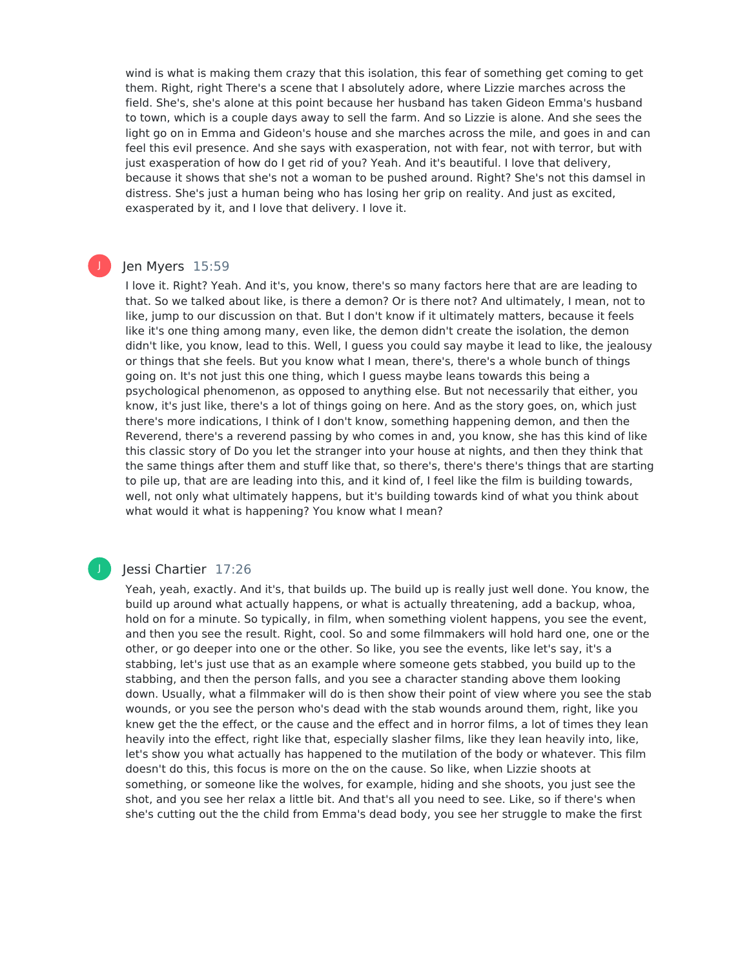wind is what is making them crazy that this isolation, this fear of something get coming to get them. Right, right There's a scene that I absolutely adore, where Lizzie marches across the field. She's, she's alone at this point because her husband has taken Gideon Emma's husband to town, which is a couple days away to sell the farm. And so Lizzie is alone. And she sees the light go on in Emma and Gideon's house and she marches across the mile, and goes in and can feel this evil presence. And she says with exasperation, not with fear, not with terror, but with just exasperation of how do I get rid of you? Yeah. And it's beautiful. I love that delivery, because it shows that she's not a woman to be pushed around. Right? She's not this damsel in distress. She's just a human being who has losing her grip on reality. And just as excited, exasperated by it, and I love that delivery. I love it.

## Jen Myers 15:59

J

I love it. Right? Yeah. And it's, you know, there's so many factors here that are are leading to that. So we talked about like, is there a demon? Or is there not? And ultimately, I mean, not to like, jump to our discussion on that. But I don't know if it ultimately matters, because it feels like it's one thing among many, even like, the demon didn't create the isolation, the demon didn't like, you know, lead to this. Well, I guess you could say maybe it lead to like, the jealousy or things that she feels. But you know what I mean, there's, there's a whole bunch of things going on. It's not just this one thing, which I guess maybe leans towards this being a psychological phenomenon, as opposed to anything else. But not necessarily that either, you know, it's just like, there's a lot of things going on here. And as the story goes, on, which just there's more indications, I think of I don't know, something happening demon, and then the Reverend, there's a reverend passing by who comes in and, you know, she has this kind of like this classic story of Do you let the stranger into your house at nights, and then they think that the same things after them and stuff like that, so there's, there's there's things that are starting to pile up, that are are leading into this, and it kind of, I feel like the film is building towards, well, not only what ultimately happens, but it's building towards kind of what you think about what would it what is happening? You know what I mean?

## Jessi Chartier 17:26

Yeah, yeah, exactly. And it's, that builds up. The build up is really just well done. You know, the build up around what actually happens, or what is actually threatening, add a backup, whoa, hold on for a minute. So typically, in film, when something violent happens, you see the event, and then you see the result. Right, cool. So and some filmmakers will hold hard one, one or the other, or go deeper into one or the other. So like, you see the events, like let's say, it's a stabbing, let's just use that as an example where someone gets stabbed, you build up to the stabbing, and then the person falls, and you see a character standing above them looking down. Usually, what a filmmaker will do is then show their point of view where you see the stab wounds, or you see the person who's dead with the stab wounds around them, right, like you knew get the the effect, or the cause and the effect and in horror films, a lot of times they lean heavily into the effect, right like that, especially slasher films, like they lean heavily into, like, let's show you what actually has happened to the mutilation of the body or whatever. This film doesn't do this, this focus is more on the on the cause. So like, when Lizzie shoots at something, or someone like the wolves, for example, hiding and she shoots, you just see the shot, and you see her relax a little bit. And that's all you need to see. Like, so if there's when she's cutting out the the child from Emma's dead body, you see her struggle to make the first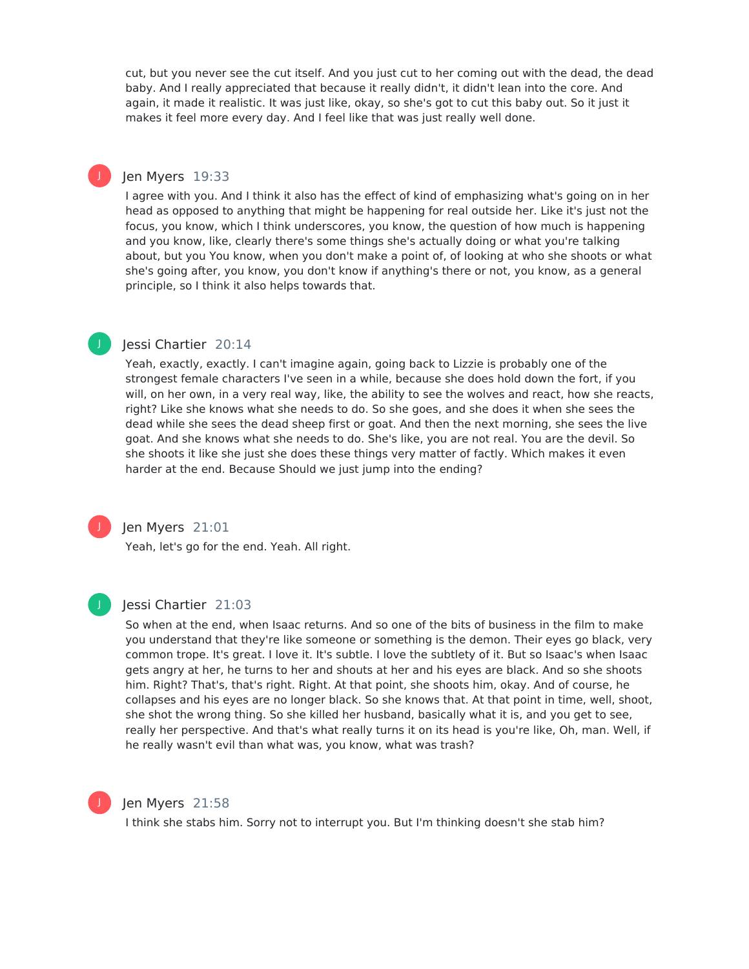cut, but you never see the cut itself. And you just cut to her coming out with the dead, the dead baby. And I really appreciated that because it really didn't, it didn't lean into the core. And again, it made it realistic. It was just like, okay, so she's got to cut this baby out. So it just it makes it feel more every day. And I feel like that was just really well done.

# Jen Myers 19:33

J

J

I agree with you. And I think it also has the effect of kind of emphasizing what's going on in her head as opposed to anything that might be happening for real outside her. Like it's just not the focus, you know, which I think underscores, you know, the question of how much is happening and you know, like, clearly there's some things she's actually doing or what you're talking about, but you You know, when you don't make a point of, of looking at who she shoots or what she's going after, you know, you don't know if anything's there or not, you know, as a general principle, so I think it also helps towards that.

## Jessi Chartier 20:14

Yeah, exactly, exactly. I can't imagine again, going back to Lizzie is probably one of the strongest female characters I've seen in a while, because she does hold down the fort, if you will, on her own, in a very real way, like, the ability to see the wolves and react, how she reacts, right? Like she knows what she needs to do. So she goes, and she does it when she sees the dead while she sees the dead sheep first or goat. And then the next morning, she sees the live goat. And she knows what she needs to do. She's like, you are not real. You are the devil. So she shoots it like she just she does these things very matter of factly. Which makes it even harder at the end. Because Should we just jump into the ending?



# Jen Myers 21:01

Yeah, let's go for the end. Yeah. All right.



## Jessi Chartier 21:03

So when at the end, when Isaac returns. And so one of the bits of business in the film to make you understand that they're like someone or something is the demon. Their eyes go black, very common trope. It's great. I love it. It's subtle. I love the subtlety of it. But so Isaac's when Isaac gets angry at her, he turns to her and shouts at her and his eyes are black. And so she shoots him. Right? That's, that's right. Right. At that point, she shoots him, okay. And of course, he collapses and his eyes are no longer black. So she knows that. At that point in time, well, shoot, she shot the wrong thing. So she killed her husband, basically what it is, and you get to see, really her perspective. And that's what really turns it on its head is you're like, Oh, man. Well, if he really wasn't evil than what was, you know, what was trash?



#### Jen Myers 21:58

I think she stabs him. Sorry not to interrupt you. But I'm thinking doesn't she stab him?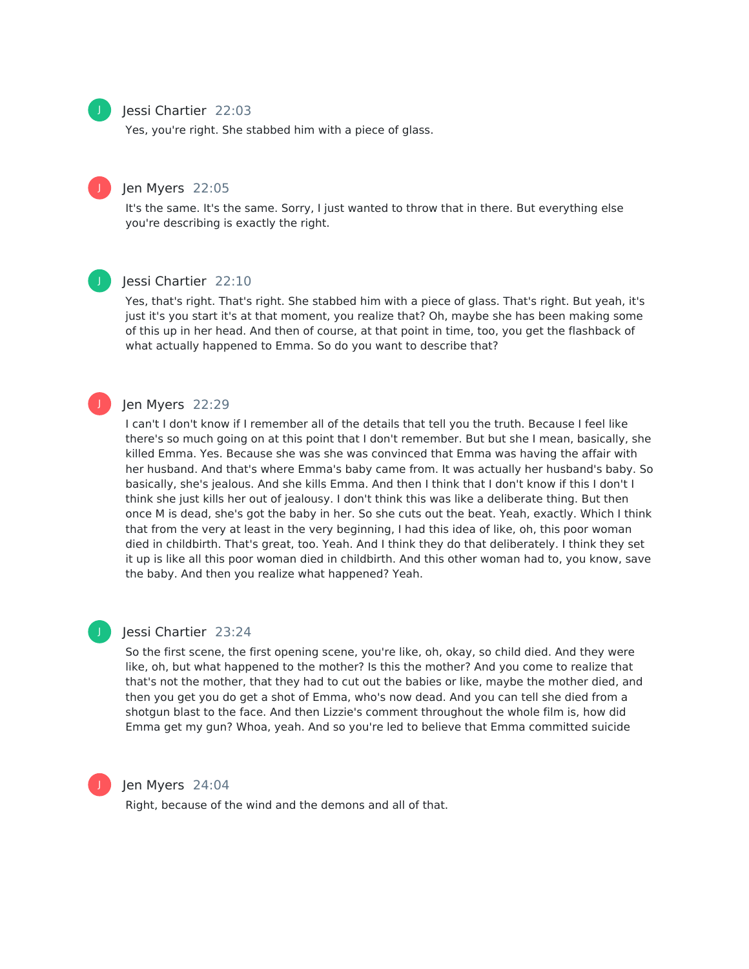

#### Jessi Chartier 22:03

Yes, you're right. She stabbed him with a piece of glass.

# Jen Myers 22:05

It's the same. It's the same. Sorry, I just wanted to throw that in there. But everything else you're describing is exactly the right.

# J

J

# Jessi Chartier 22:10

Yes, that's right. That's right. She stabbed him with a piece of glass. That's right. But yeah, it's just it's you start it's at that moment, you realize that? Oh, maybe she has been making some of this up in her head. And then of course, at that point in time, too, you get the flashback of what actually happened to Emma. So do you want to describe that?

# Jen Myers 22:29

I can't I don't know if I remember all of the details that tell you the truth. Because I feel like there's so much going on at this point that I don't remember. But but she I mean, basically, she killed Emma. Yes. Because she was she was convinced that Emma was having the affair with her husband. And that's where Emma's baby came from. It was actually her husband's baby. So basically, she's jealous. And she kills Emma. And then I think that I don't know if this I don't I think she just kills her out of jealousy. I don't think this was like a deliberate thing. But then once M is dead, she's got the baby in her. So she cuts out the beat. Yeah, exactly. Which I think that from the very at least in the very beginning, I had this idea of like, oh, this poor woman died in childbirth. That's great, too. Yeah. And I think they do that deliberately. I think they set it up is like all this poor woman died in childbirth. And this other woman had to, you know, save the baby. And then you realize what happened? Yeah.

# J

#### Jessi Chartier 23:24

So the first scene, the first opening scene, you're like, oh, okay, so child died. And they were like, oh, but what happened to the mother? Is this the mother? And you come to realize that that's not the mother, that they had to cut out the babies or like, maybe the mother died, and then you get you do get a shot of Emma, who's now dead. And you can tell she died from a shotgun blast to the face. And then Lizzie's comment throughout the whole film is, how did Emma get my gun? Whoa, yeah. And so you're led to believe that Emma committed suicide



#### Jen Myers 24:04

Right, because of the wind and the demons and all of that.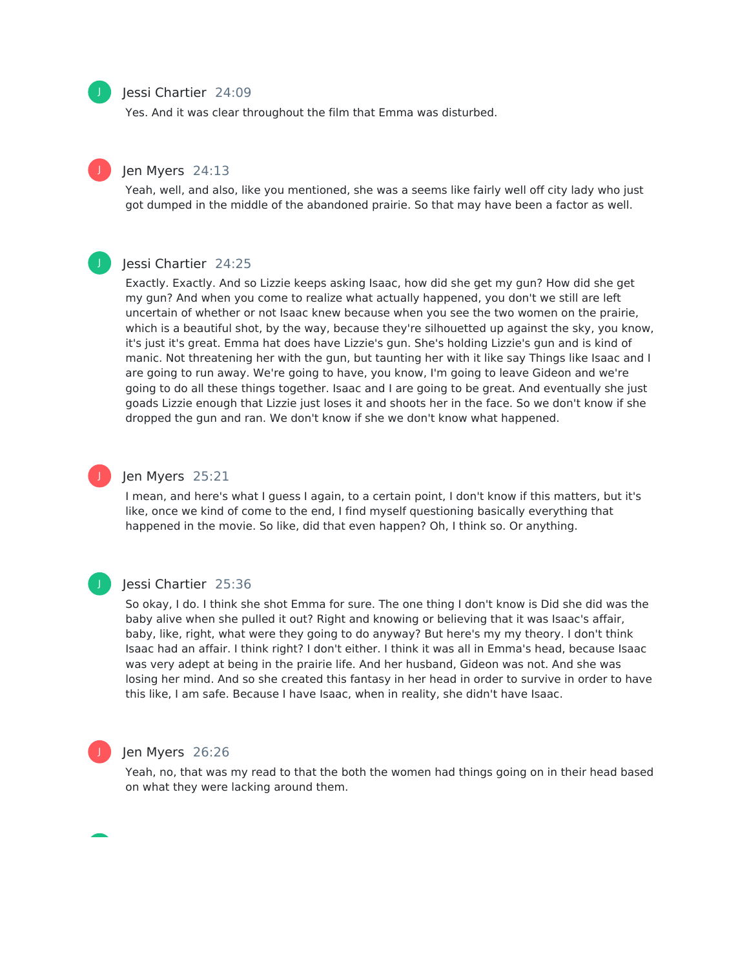

Yes. And it was clear throughout the film that Emma was disturbed.

# Jen Myers 24:13

Yeah, well, and also, like you mentioned, she was a seems like fairly well off city lady who just got dumped in the middle of the abandoned prairie. So that may have been a factor as well.

#### Jessi Chartier 24:25

Exactly. Exactly. And so Lizzie keeps asking Isaac, how did she get my gun? How did she get my gun? And when you come to realize what actually happened, you don't we still are left uncertain of whether or not Isaac knew because when you see the two women on the prairie, which is a beautiful shot, by the way, because they're silhouetted up against the sky, you know, it's just it's great. Emma hat does have Lizzie's gun. She's holding Lizzie's gun and is kind of manic. Not threatening her with the gun, but taunting her with it like say Things like Isaac and I are going to run away. We're going to have, you know, I'm going to leave Gideon and we're going to do all these things together. Isaac and I are going to be great. And eventually she just goads Lizzie enough that Lizzie just loses it and shoots her in the face. So we don't know if she dropped the gun and ran. We don't know if she we don't know what happened.



#### Jen Myers 25:21

I mean, and here's what I guess I again, to a certain point, I don't know if this matters, but it's like, once we kind of come to the end, I find myself questioning basically everything that happened in the movie. So like, did that even happen? Oh, I think so. Or anything.



#### Jessi Chartier 25:36

So okay, I do. I think she shot Emma for sure. The one thing I don't know is Did she did was the baby alive when she pulled it out? Right and knowing or believing that it was Isaac's affair, baby, like, right, what were they going to do anyway? But here's my my theory. I don't think Isaac had an affair. I think right? I don't either. I think it was all in Emma's head, because Isaac was very adept at being in the prairie life. And her husband, Gideon was not. And she was losing her mind. And so she created this fantasy in her head in order to survive in order to have this like, I am safe. Because I have Isaac, when in reality, she didn't have Isaac.



# Jen Myers 26:26

Yeah, no, that was my read to that the both the women had things going on in their head based on what they were lacking around them.



J

J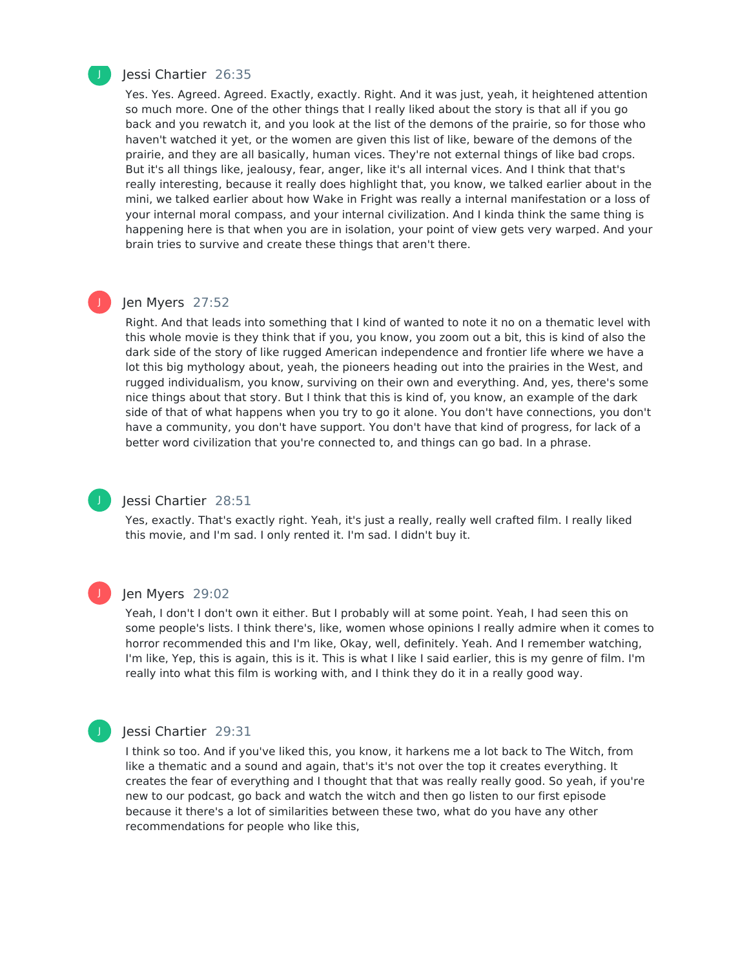

#### Jessi Chartier 26:35

Yes. Yes. Agreed. Agreed. Exactly, exactly. Right. And it was just, yeah, it heightened attention so much more. One of the other things that I really liked about the story is that all if you go back and you rewatch it, and you look at the list of the demons of the prairie, so for those who haven't watched it yet, or the women are given this list of like, beware of the demons of the prairie, and they are all basically, human vices. They're not external things of like bad crops. But it's all things like, jealousy, fear, anger, like it's all internal vices. And I think that that's really interesting, because it really does highlight that, you know, we talked earlier about in the mini, we talked earlier about how Wake in Fright was really a internal manifestation or a loss of your internal moral compass, and your internal civilization. And I kinda think the same thing is happening here is that when you are in isolation, your point of view gets very warped. And your brain tries to survive and create these things that aren't there.

#### Jen Myers 27:52

Right. And that leads into something that I kind of wanted to note it no on a thematic level with this whole movie is they think that if you, you know, you zoom out a bit, this is kind of also the dark side of the story of like rugged American independence and frontier life where we have a lot this big mythology about, yeah, the pioneers heading out into the prairies in the West, and rugged individualism, you know, surviving on their own and everything. And, yes, there's some nice things about that story. But I think that this is kind of, you know, an example of the dark side of that of what happens when you try to go it alone. You don't have connections, you don't have a community, you don't have support. You don't have that kind of progress, for lack of a better word civilization that you're connected to, and things can go bad. In a phrase.

#### Jessi Chartier 28:51

Yes, exactly. That's exactly right. Yeah, it's just a really, really well crafted film. I really liked this movie, and I'm sad. I only rented it. I'm sad. I didn't buy it.



J

#### Jen Myers 29:02

Yeah, I don't I don't own it either. But I probably will at some point. Yeah, I had seen this on some people's lists. I think there's, like, women whose opinions I really admire when it comes to horror recommended this and I'm like, Okay, well, definitely. Yeah. And I remember watching, I'm like, Yep, this is again, this is it. This is what I like I said earlier, this is my genre of film. I'm really into what this film is working with, and I think they do it in a really good way.

#### Jessi Chartier 29:31

I think so too. And if you've liked this, you know, it harkens me a lot back to The Witch, from like a thematic and a sound and again, that's it's not over the top it creates everything. It creates the fear of everything and I thought that that was really really good. So yeah, if you're new to our podcast, go back and watch the witch and then go listen to our first episode because it there's a lot of similarities between these two, what do you have any other recommendations for people who like this,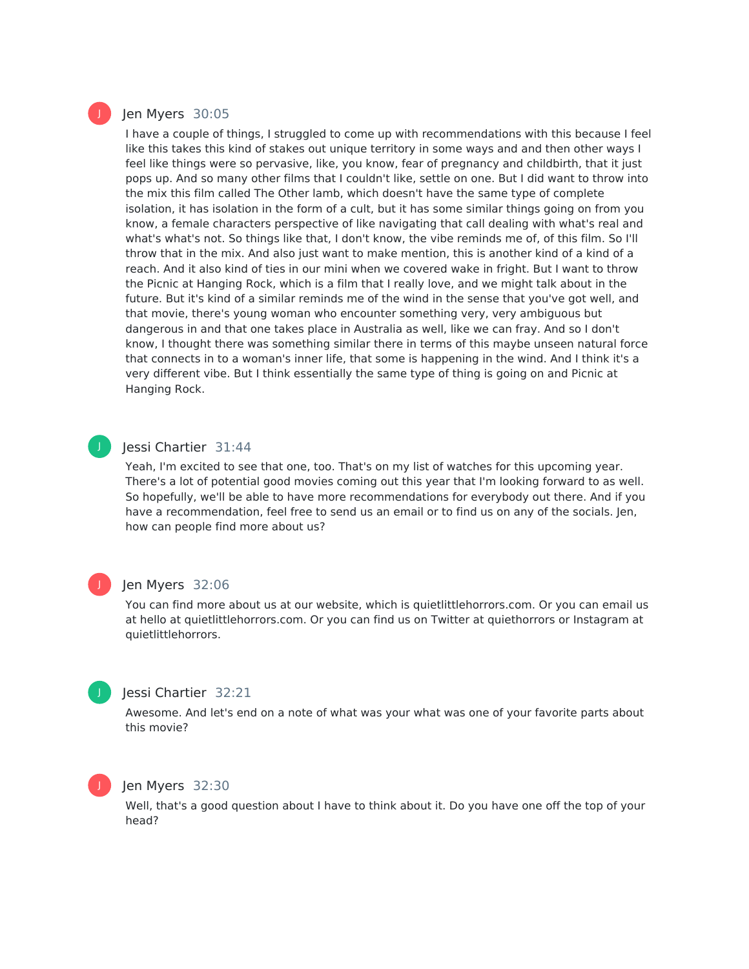## Jen Myers 30:05

I have a couple of things, I struggled to come up with recommendations with this because I feel like this takes this kind of stakes out unique territory in some ways and and then other ways I feel like things were so pervasive, like, you know, fear of pregnancy and childbirth, that it just pops up. And so many other films that I couldn't like, settle on one. But I did want to throw into the mix this film called The Other lamb, which doesn't have the same type of complete isolation, it has isolation in the form of a cult, but it has some similar things going on from you know, a female characters perspective of like navigating that call dealing with what's real and what's what's not. So things like that, I don't know, the vibe reminds me of, of this film. So I'll throw that in the mix. And also just want to make mention, this is another kind of a kind of a reach. And it also kind of ties in our mini when we covered wake in fright. But I want to throw the Picnic at Hanging Rock, which is a film that I really love, and we might talk about in the future. But it's kind of a similar reminds me of the wind in the sense that you've got well, and that movie, there's young woman who encounter something very, very ambiguous but dangerous in and that one takes place in Australia as well, like we can fray. And so I don't know, I thought there was something similar there in terms of this maybe unseen natural force that connects in to a woman's inner life, that some is happening in the wind. And I think it's a very different vibe. But I think essentially the same type of thing is going on and Picnic at Hanging Rock.

# J

# Jessi Chartier 31:44

Yeah, I'm excited to see that one, too. That's on my list of watches for this upcoming year. There's a lot of potential good movies coming out this year that I'm looking forward to as well. So hopefully, we'll be able to have more recommendations for everybody out there. And if you have a recommendation, feel free to send us an email or to find us on any of the socials. Jen, how can people find more about us?

# J

#### Jen Myers 32:06

You can find more about us at our website, which is quietlittlehorrors.com. Or you can email us at hello at quietlittlehorrors.com. Or you can find us on Twitter at quiethorrors or Instagram at quietlittlehorrors.



# Jessi Chartier 32:21

Awesome. And let's end on a note of what was your what was one of your favorite parts about this movie?

#### Jen Myers 32:30

Well, that's a good question about I have to think about it. Do you have one off the top of your head?